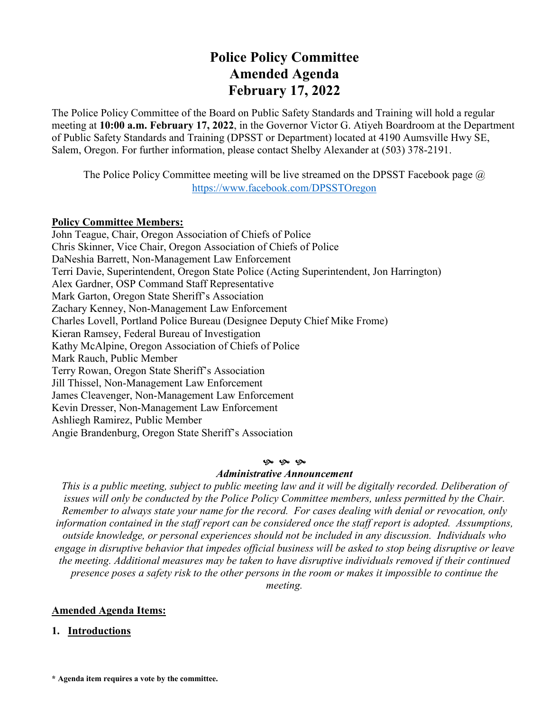# **Police Policy Committee Amended Agenda February 17, 2022**

The Police Policy Committee of the Board on Public Safety Standards and Training will hold a regular meeting at **10:00 a.m. February 17, 2022**, in the Governor Victor G. Atiyeh Boardroom at the Department of Public Safety Standards and Training (DPSST or Department) located at 4190 Aumsville Hwy SE, Salem, Oregon. For further information, please contact Shelby Alexander at (503) 378-2191.

The Police Policy Committee meeting will be live streamed on the DPSST Facebook page  $\omega$ <https://www.facebook.com/DPSSTOregon>

### **Policy Committee Members:**

John Teague, Chair, Oregon Association of Chiefs of Police Chris Skinner, Vice Chair, Oregon Association of Chiefs of Police DaNeshia Barrett, Non-Management Law Enforcement Terri Davie, Superintendent, Oregon State Police (Acting Superintendent, Jon Harrington) Alex Gardner, OSP Command Staff Representative Mark Garton, Oregon State Sheriff's Association Zachary Kenney, Non-Management Law Enforcement Charles Lovell, Portland Police Bureau (Designee Deputy Chief Mike Frome) Kieran Ramsey, Federal Bureau of Investigation Kathy McAlpine, Oregon Association of Chiefs of Police Mark Rauch, Public Member Terry Rowan, Oregon State Sheriff's Association Jill Thissel, Non-Management Law Enforcement James Cleavenger, Non-Management Law Enforcement Kevin Dresser, Non-Management Law Enforcement Ashliegh Ramirez, Public Member Angie Brandenburg, Oregon State Sheriff's Association

#### **9** 9 9

### *Administrative Announcement*

*This is a public meeting, subject to public meeting law and it will be digitally recorded. Deliberation of issues will only be conducted by the Police Policy Committee members, unless permitted by the Chair. Remember to always state your name for the record. For cases dealing with denial or revocation, only information contained in the staff report can be considered once the staff report is adopted. Assumptions, outside knowledge, or personal experiences should not be included in any discussion. Individuals who engage in disruptive behavior that impedes official business will be asked to stop being disruptive or leave the meeting. Additional measures may be taken to have disruptive individuals removed if their continued presence poses a safety risk to the other persons in the room or makes it impossible to continue the meeting.*

## **Amended Agenda Items:**

### **1. Introductions**